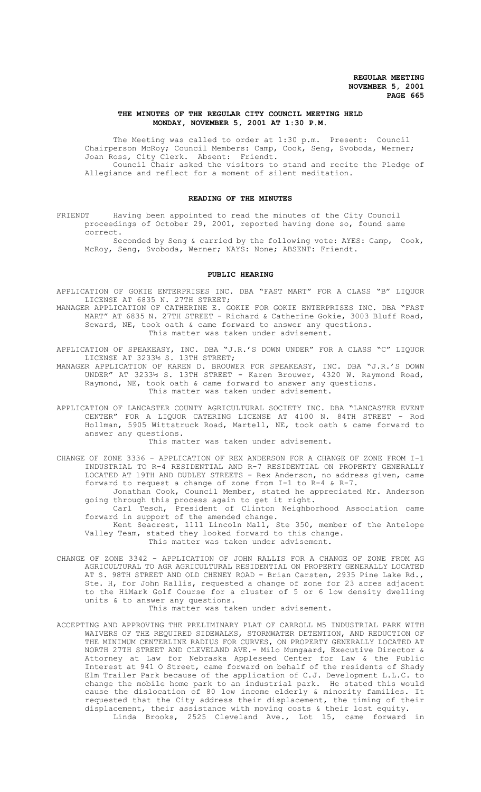### **THE MINUTES OF THE REGULAR CITY COUNCIL MEETING HELD MONDAY, NOVEMBER 5, 2001 AT 1:30 P.M.**

The Meeting was called to order at 1:30 p.m. Present: Council Chairperson McRoy; Council Members: Camp, Cook, Seng, Svoboda, Werner; Joan Ross, City Clerk. Absent: Friendt. Council Chair asked the visitors to stand and recite the Pledge of Allegiance and reflect for a moment of silent meditation.

### **READING OF THE MINUTES**

FRIENDT Having been appointed to read the minutes of the City Council proceedings of October 29, 2001, reported having done so, found same correct.

Seconded by Seng & carried by the following vote: AYES: Camp, Cook, McRoy, Seng, Svoboda, Werner; NAYS: None; ABSENT: Friendt.

#### **PUBLIC HEARING**

APPLICATION OF GOKIE ENTERPRISES INC. DBA "FAST MART" FOR A CLASS "B" LIQUOR LICENSE AT 6835 N. 27TH STREET;

MANAGER APPLICATION OF CATHERINE E. GOKIE FOR GOKIE ENTERPRISES INC. DBA "FAST MART" AT 6835 N. 27TH STREET - Richard & Catherine Gokie, 3003 Bluff Road, Seward, NE, took oath & came forward to answer any questions. This matter was taken under advisement.

APPLICATION OF SPEAKEASY, INC. DBA "J.R.'S DOWN UNDER" FOR A CLASS "C" LIQUOR LICENSE AT 3233½ S. 13TH STREET;

MANAGER APPLICATION OF KAREN D. BROUWER FOR SPEAKEASY, INC. DBA "J.R.'S DOWN UNDER" AT 3233½ S. 13TH STREET - Karen Brouwer, 4320 W. Raymond Road, Raymond, NE, took oath & came forward to answer any questions. This matter was taken under advisement.

APPLICATION OF LANCASTER COUNTY AGRICULTURAL SOCIETY INC. DBA "LANCASTER EVENT CENTER" FOR A LIQUOR CATERING LICENSE AT 4100 N. 84TH STREET - Rod Hollman, 5905 Wittstruck Road, Martell, NE, took oath & came forward to answer any questions.

This matter was taken under advisement.

CHANGE OF ZONE 3336 - APPLICATION OF REX ANDERSON FOR A CHANGE OF ZONE FROM I-1 INDUSTRIAL TO R-4 RESIDENTIAL AND R-7 RESIDENTIAL ON PROPERTY GENERALLY LOCATED AT 19TH AND DUDLEY STREETS - Rex Anderson, no address given, came forward to request a change of zone from I-1 to R-4 & R-7.

Jonathan Cook, Council Member, stated he appreciated Mr. Anderson going through this process again to get it right.

Carl Tesch, President of Clinton Neighborhood Association came forward in support of the amended change.

Kent Seacrest, 1111 Lincoln Mall, Ste 350, member of the Antelope Valley Team, stated they looked forward to this change. This matter was taken under advisement.

CHANGE OF ZONE 3342 - APPLICATION OF JOHN RALLIS FOR A CHANGE OF ZONE FROM AG AGRICULTURAL TO AGR AGRICULTURAL RESIDENTIAL ON PROPERTY GENERALLY LOCATED AT S. 98TH STREET AND OLD CHENEY ROAD - Brian Carsten, 2935 Pine Lake Rd., Ste. H, for John Rallis, requested a change of zone for 23 acres adjacent to the HiMark Golf Course for a cluster of 5 or 6 low density dwelling units & to answer any questions.

This matter was taken under advisement.

ACCEPTING AND APPROVING THE PRELIMINARY PLAT OF CARROLL M5 INDUSTRIAL PARK WITH WAIVERS OF THE REQUIRED SIDEWALKS, STORMWATER DETENTION, AND REDUCTION OF THE MINIMUM CENTERLINE RADIUS FOR CURVES, ON PROPERTY GENERALLY LOCATED AT NORTH 27TH STREET AND CLEVELAND AVE.- Milo Mumgaard, Executive Director & Attorney at Law for Nebraska Appleseed Center for Law & the Public Interest at 941 O Street, came forward on behalf of the residents of Shady Elm Trailer Park because of the application of C.J. Development L.L.C. to change the mobile home park to an industrial park. He stated this would cause the dislocation of 80 low income elderly & minority families. It requested that the City address their displacement, the timing of their displacement, their assistance with moving costs & their lost equity. Linda Brooks, 2525 Cleveland Ave., Lot 15, came forward in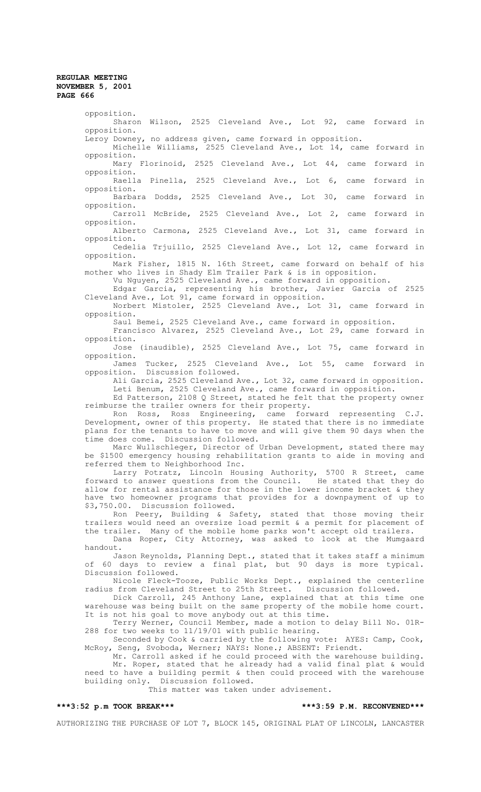opposition. Sharon Wilson, 2525 Cleveland Ave., Lot 92, came forward in opposition. Leroy Downey, no address given, came forward in opposition. Michelle Williams, 2525 Cleveland Ave., Lot 14, came forward in opposition. Mary Florinoid, 2525 Cleveland Ave., Lot 44, came forward in opposition. Raella Pinella, 2525 Cleveland Ave., Lot 6, came forward in opposition. Barbara Dodds, 2525 Cleveland Ave., Lot 30, came forward in opposition. Carroll McBride, 2525 Cleveland Ave., Lot 2, came forward in opposition. Alberto Carmona, 2525 Cleveland Ave., Lot 31, came forward in opposition. Cedelia Trjuillo, 2525 Cleveland Ave., Lot 12, came forward in opposition. Mark Fisher, 1815 N. 16th Street, came forward on behalf of his mother who lives in Shady Elm Trailer Park & is in opposition. Vu Nguyen, 2525 Cleveland Ave., came forward in opposition. Edgar Garcia, representing his brother, Javier Garcia of 2525 Cleveland Ave., Lot 91, came forward in opposition. Norbert Mistoler, 2525 Cleveland Ave., Lot 31, came forward in opposition. Saul Bemei, 2525 Cleveland Ave., came forward in opposition. Francisco Alvarez, 2525 Cleveland Ave., Lot 29, came forward in opposition. Jose (inaudible), 2525 Cleveland Ave., Lot 75, came forward in opposition. James Tucker, 2525 Cleveland Ave., Lot 55, came forward in opposition. Discussion followed. Ali Garcia, 2525 Cleveland Ave., Lot 32, came forward in opposition. Leti Benum, 2525 Cleveland Ave., came forward in opposition. Ed Patterson, 2108 Q Street, stated he felt that the property owner reimburse the trailer owners for their property. Ron Ross, Ross Engineering, came forward representing C.J. Development, owner of this property. He stated that there is no immediate plans for the tenants to have to move and will give them 90 days when the time does come. Discussion followed. Marc Wullschleger, Director of Urban Development, stated there may be \$1500 emergency housing rehabilitation grants to aide in moving and referred them to Neighborhood Inc. Larry Potratz, Lincoln Housing Authority, 5700 R Street, came<br>Larry Potratz, Lincoln Housing Authority, 5700 R Street, came<br>rd to answer questions from the Council. He stated that they do forward to answer questions from the Council. He stated that they do allow for rental assistance for those in the lower income bracket & they have two homeowner programs that provides for a downpayment of up to \$3,750.00. Discussion followed. Ron Peery, Building & Safety, stated that those moving their trailers would need an oversize load permit & a permit for placement of the trailer. Many of the mobile home parks won't accept old trailers. Dana Roper, City Attorney, was asked to look at the Mumgaard handout. Jason Reynolds, Planning Dept., stated that it takes staff a minimum of 60 days to review a final plat, but 90 days is more typical. Discussion followed. Nicole Fleck-Tooze, Public Works Dept., explained the centerline radius from Cleveland Street to 25th Street. Discussion followed. Dick Carroll, 245 Anthony Lane, explained that at this time one warehouse was being built on the same property of the mobile home court. It is not his goal to move anybody out at this time. Terry Werner, Council Member, made a motion to delay Bill No. 01R-288 for two weeks to 11/19/01 with public hearing. Seconded by Cook & carried by the following vote: AYES: Camp, Cook, McRoy, Seng, Svoboda, Werner; NAYS: None.; ABSENT: Friendt. Mr. Carroll asked if he could proceed with the warehouse building. Mr. Roper, stated that he already had a valid final plat & would need to have a building permit & then could proceed with the warehouse building only. Discussion followed. This matter was taken under advisement. **\*\*\*3:52 p.m TOOK BREAK\*\*\* \*\*\*3:59 P.M. RECONVENED\*\*\***

AUTHORIZING THE PURCHASE OF LOT 7, BLOCK 145, ORIGINAL PLAT OF LINCOLN, LANCASTER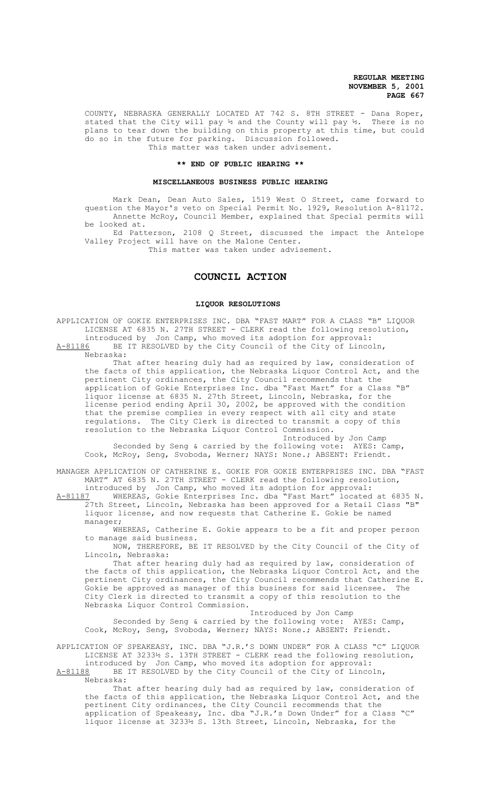COUNTY, NEBRASKA GENERALLY LOCATED AT 742 S. 8TH STREET - Dana Roper, stated that the City will pay  $\frac{1}{2}$  and the County will pay  $\frac{1}{2}$ . There is no plans to tear down the building on this property at this time, but could do so in the future for parking. Discussion followed. This matter was taken under advisement.

#### **\*\* END OF PUBLIC HEARING \*\***

#### **MISCELLANEOUS BUSINESS PUBLIC HEARING**

Mark Dean, Dean Auto Sales, 1519 West O Street, came forward to question the Mayor's veto on Special Permit No. 1929, Resolution A-81172. Annette McRoy, Council Member, explained that Special permits will be looked at.

Ed Patterson, 2108 Q Street, discussed the impact the Antelope Valley Project will have on the Malone Center.

This matter was taken under advisement.

# **COUNCIL ACTION**

#### **LIQUOR RESOLUTIONS**

APPLICATION OF GOKIE ENTERPRISES INC. DBA "FAST MART" FOR A CLASS "B" LIQUOR LICENSE AT 6835 N. 27TH STREET - CLERK read the following resolution, introduced by Jon Camp, who moved its adoption for approval: A-81186 BE IT RESOLVED by the City Council of the City of Lincoln, Nebraska:

That after hearing duly had as required by law, consideration of the facts of this application, the Nebraska Liquor Control Act, and the pertinent City ordinances, the City Council recommends that the application of Gokie Enterprises Inc. dba "Fast Mart" for a Class "B" liquor license at 6835 N. 27th Street, Lincoln, Nebraska, for the license period ending April 30, 2002, be approved with the condition that the premise complies in every respect with all city and state regulations. The City Clerk is directed to transmit a copy of this resolution to the Nebraska Liquor Control Commission. Introduced by Jon Camp

Seconded by Seng & carried by the following vote: AYES: Camp, Cook, McRoy, Seng, Svoboda, Werner; NAYS: None.; ABSENT: Friendt.

MANAGER APPLICATION OF CATHERINE E. GOKIE FOR GOKIE ENTERPRISES INC. DBA "FAST MART" AT 6835 N. 27TH STREET - CLERK read the following resolution, introduced by Jon Camp, who moved its adoption for approval:

A-81187 WHEREAS, Gokie Enterprises Inc. dba "Fast Mart" located at 6835 N. 27th Street, Lincoln, Nebraska has been approved for a Retail Class "B" liquor license, and now requests that Catherine E. Gokie be named manager;

WHEREAS, Catherine E. Gokie appears to be a fit and proper person to manage said business.

NOW, THEREFORE, BE IT RESOLVED by the City Council of the City of Lincoln, Nebraska:

That after hearing duly had as required by law, consideration of the facts of this application, the Nebraska Liquor Control Act, and the pertinent City ordinances, the City Council recommends that Catherine E. Gokie be approved as manager of this business for said licensee. The City Clerk is directed to transmit a copy of this resolution to the Nebraska Liquor Control Commission.

 Introduced by Jon Camp Seconded by Seng & carried by the following vote: AYES: Camp, Cook, McRoy, Seng, Svoboda, Werner; NAYS: None.; ABSENT: Friendt.

APPLICATION OF SPEAKEASY, INC. DBA "J.R.'S DOWN UNDER" FOR A CLASS "C" LIQUOR LICENSE AT  $3233\frac{1}{2}$  S. 13TH STREET - CLERK read the following resolution, introduced by Jon Camp, who moved its adoption for approval:

A-81188 BE IT RESOLVED by the City Council of the City of Lincoln, Nebraska:

That after hearing duly had as required by law, consideration of the facts of this application, the Nebraska Liquor Control Act, and the pertinent City ordinances, the City Council recommends that the application of Speakeasy, Inc. dba "J.R.'s Down Under" for a Class "C" liquor license at 3233½ S. 13th Street, Lincoln, Nebraska, for the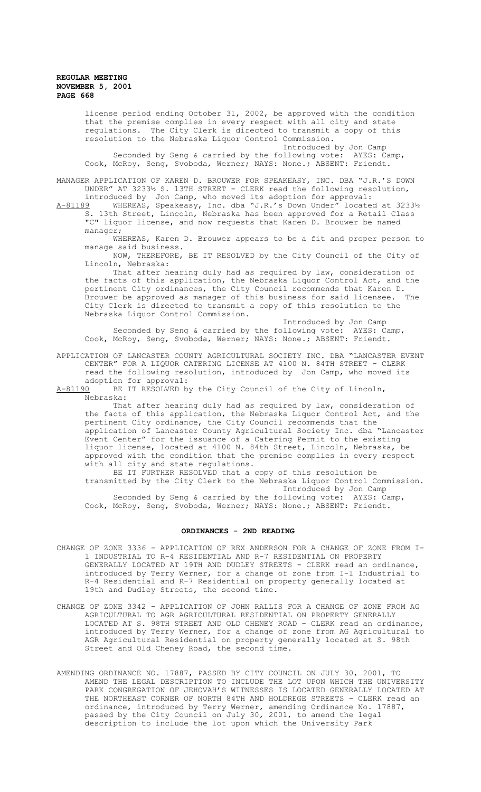license period ending October 31, 2002, be approved with the condition that the premise complies in every respect with all city and state regulations. The City Clerk is directed to transmit a copy of this resolution to the Nebraska Liquor Control Commission.

Introduced by Jon Camp Seconded by Seng & carried by the following vote: AYES: Camp, Cook, McRoy, Seng, Svoboda, Werner; NAYS: None.; ABSENT: Friendt.

MANAGER APPLICATION OF KAREN D. BROUWER FOR SPEAKEASY, INC. DBA "J.R.'S DOWN UNDER" AT 3233½ S. 13TH STREET - CLERK read the following resolution,

introduced by Jon Camp, who moved its adoption for approval: A-81189 WHEREAS, Speakeasy, Inc. dba "J.R.'s Down Under" located at 3233½ S. 13th Street, Lincoln, Nebraska has been approved for a Retail Class "C" liquor license, and now requests that Karen D. Brouwer be named manager;

WHEREAS, Karen D. Brouwer appears to be a fit and proper person to manage said business.

NOW, THEREFORE, BE IT RESOLVED by the City Council of the City of Lincoln, Nebraska:

That after hearing duly had as required by law, consideration of the facts of this application, the Nebraska Liquor Control Act, and the pertinent City ordinances, the City Council recommends that Karen D. Brouwer be approved as manager of this business for said licensee. The City Clerk is directed to transmit a copy of this resolution to the Nebraska Liquor Control Commission.

Introduced by Jon Camp Seconded by Seng & carried by the following vote: AYES: Camp, Cook, McRoy, Seng, Svoboda, Werner; NAYS: None.; ABSENT: Friendt.

APPLICATION OF LANCASTER COUNTY AGRICULTURAL SOCIETY INC. DBA "LANCASTER EVENT CENTER" FOR A LIQUOR CATERING LICENSE AT 4100 N. 84TH STREET - CLERK read the following resolution, introduced by Jon Camp, who moved its

adoption for approval:<br>A-81190 BE IT RESOLVED b BE IT RESOLVED by the City Council of the City of Lincoln, Nebraska:

That after hearing duly had as required by law, consideration of the facts of this application, the Nebraska Liquor Control Act, and the pertinent City ordinance, the City Council recommends that the application of Lancaster County Agricultural Society Inc. dba "Lancaster Event Center" for the issuance of a Catering Permit to the existing liquor license, located at 4100 N. 84th Street, Lincoln, Nebraska, be approved with the condition that the premise complies in every respect with all city and state regulations.

BE IT FURTHER RESOLVED that a copy of this resolution be transmitted by the City Clerk to the Nebraska Liquor Control Commission. Introduced by Jon Camp Seconded by Seng & carried by the following vote: AYES: Camp, Cook, McRoy, Seng, Svoboda, Werner; NAYS: None.; ABSENT: Friendt.

# **ORDINANCES - 2ND READING**

- CHANGE OF ZONE 3336 APPLICATION OF REX ANDERSON FOR A CHANGE OF ZONE FROM I-1 INDUSTRIAL TO R-4 RESIDENTIAL AND R-7 RESIDENTIAL ON PROPERTY GENERALLY LOCATED AT 19TH AND DUDLEY STREETS - CLERK read an ordinance, introduced by Terry Werner, for a change of zone from I-1 Industrial to R-4 Residential and R-7 Residential on property generally located at 19th and Dudley Streets, the second time.
- CHANGE OF ZONE 3342 APPLICATION OF JOHN RALLIS FOR A CHANGE OF ZONE FROM AG AGRICULTURAL TO AGR AGRICULTURAL RESIDENTIAL ON PROPERTY GENERALLY LOCATED AT S. 98TH STREET AND OLD CHENEY ROAD - CLERK read an ordinance, introduced by Terry Werner, for a change of zone from AG Agricultural to AGR Agricultural Residential on property generally located at S. 98th Street and Old Cheney Road, the second time.
- AMENDING ORDINANCE NO. 17887, PASSED BY CITY COUNCIL ON JULY 30, 2001, TO AMEND THE LEGAL DESCRIPTION TO INCLUDE THE LOT UPON WHICH THE UNIVERSITY PARK CONGREGATION OF JEHOVAH'S WITNESSES IS LOCATED GENERALLY LOCATED AT THE NORTHEAST CORNER OF NORTH 84TH AND HOLDREGE STREETS - CLERK read an ordinance, introduced by Terry Werner, amending Ordinance No. 17887, passed by the City Council on July 30, 2001, to amend the legal description to include the lot upon which the University Park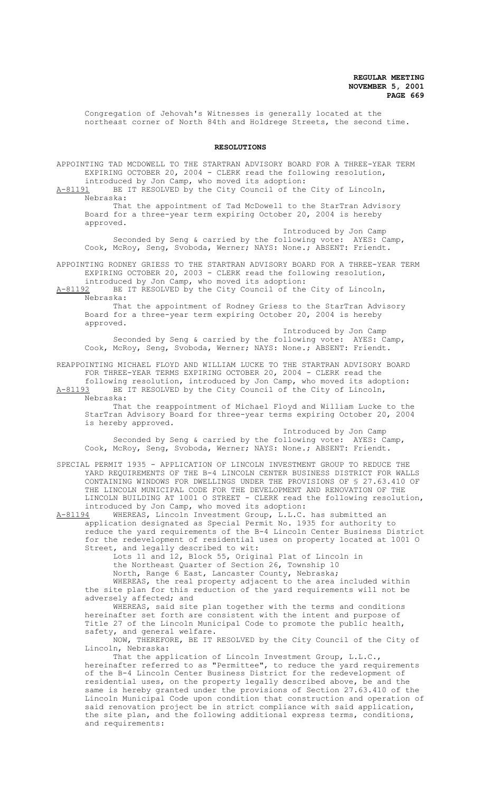Congregation of Jehovah's Witnesses is generally located at the northeast corner of North 84th and Holdrege Streets, the second time.

#### **RESOLUTIONS**

APPOINTING TAD MCDOWELL TO THE STARTRAN ADVISORY BOARD FOR A THREE-YEAR TERM EXPIRING OCTOBER 20, 2004 - CLERK read the following resolution, introduced by Jon Camp, who moved its adoption:

A-81191 BE IT RESOLVED by the City Council of the City of Lincoln, Nebraska:

That the appointment of Tad McDowell to the StarTran Advisory Board for a three-year term expiring October 20, 2004 is hereby approved.

Introduced by Jon Camp Seconded by Seng & carried by the following vote: AYES: Camp, Cook, McRoy, Seng, Svoboda, Werner; NAYS: None.; ABSENT: Friendt.

APPOINTING RODNEY GRIESS TO THE STARTRAN ADVISORY BOARD FOR A THREE-YEAR TERM EXPIRING OCTOBER 20, 2003 - CLERK read the following resolution, introduced by Jon Camp, who moved its adoption:

A-81192 BE IT RESOLVED by the City Council of the City of Lincoln,

Nebraska:

That the appointment of Rodney Griess to the StarTran Advisory Board for a three-year term expiring October 20, 2004 is hereby approved.

Introduced by Jon Camp Seconded by Seng & carried by the following vote: AYES: Camp, Cook, McRoy, Seng, Svoboda, Werner; NAYS: None.; ABSENT: Friendt.

REAPPOINTING MICHAEL FLOYD AND WILLIAM LUCKE TO THE STARTRAN ADVISORY BOARD FOR THREE-YEAR TERMS EXPIRING OCTOBER 20, 2004 - CLERK read the following resolution, introduced by Jon Camp, who moved its adoption:<br>A-81193 BE IT RESOLVED by the City Council of the City of Lincoln, BE IT RESOLVED by the City Council of the City of Lincoln, Nebraska:

That the reappointment of Michael Floyd and William Lucke to the StarTran Advisory Board for three-year terms expiring October 20, 2004 is hereby approved.

Introduced by Jon Camp Seconded by Seng & carried by the following vote: AYES: Camp, Cook, McRoy, Seng, Svoboda, Werner; NAYS: None.; ABSENT: Friendt.

SPECIAL PERMIT 1935 - APPLICATION OF LINCOLN INVESTMENT GROUP TO REDUCE THE YARD REQUIREMENTS OF THE B-4 LINCOLN CENTER BUSINESS DISTRICT FOR WALLS CONTAINING WINDOWS FOR DWELLINGS UNDER THE PROVISIONS OF § 27.63.410 OF THE LINCOLN MUNICIPAL CODE FOR THE DEVELOPMENT AND RENOVATION OF THE LINCOLN BUILDING AT 1001 O STREET - CLERK read the following resolution,

introduced by Jon Camp, who moved its adoption:<br>A-81194 WHEREAS, Lincoln Investment Group, L.L.C. A-81194 WHEREAS, Lincoln Investment Group, L.L.C. has submitted an application designated as Special Permit No. 1935 for authority to reduce the yard requirements of the B-4 Lincoln Center Business District for the redevelopment of residential uses on property located at 1001 O Street, and legally described to wit:

Lots 11 and 12, Block 55, Original Plat of Lincoln in the Northeast Quarter of Section 26, Township 10

North, Range 6 East, Lancaster County, Nebraska;

WHEREAS, the real property adjacent to the area included within the site plan for this reduction of the yard requirements will not be adversely affected; and

WHEREAS, said site plan together with the terms and conditions hereinafter set forth are consistent with the intent and purpose of Title 27 of the Lincoln Municipal Code to promote the public health, safety, and general welfare.

NOW, THEREFORE, BE IT RESOLVED by the City Council of the City of Lincoln, Nebraska:

That the application of Lincoln Investment Group, L.L.C., hereinafter referred to as "Permittee", to reduce the yard requirements of the B-4 Lincoln Center Business District for the redevelopment of residential uses, on the property legally described above, be and the same is hereby granted under the provisions of Section 27.63.410 of the Lincoln Municipal Code upon condition that construction and operation of said renovation project be in strict compliance with said application, the site plan, and the following additional express terms, conditions, and requirements: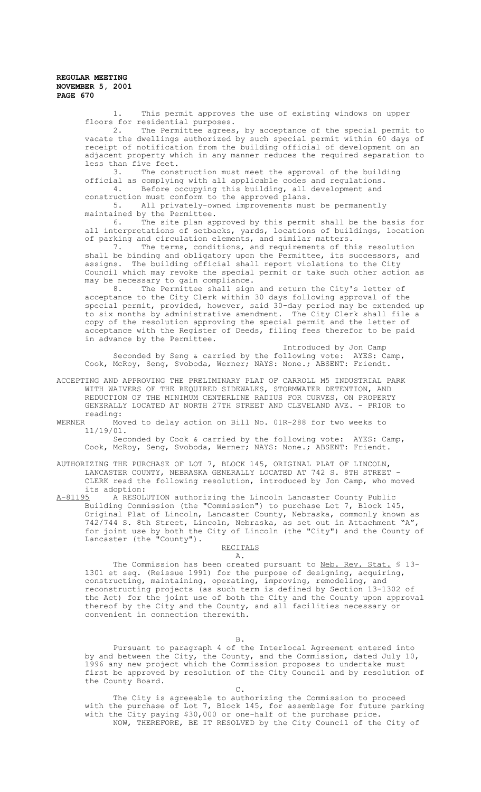> 1. This permit approves the use of existing windows on upper floors for residential purposes.<br>2. The Permittee agrees

The Permittee agrees, by acceptance of the special permit to vacate the dwellings authorized by such special permit within 60 days of receipt of notification from the building official of development on an adjacent property which in any manner reduces the required separation to less than five feet.<br>3. The cons

The construction must meet the approval of the building official as complying with all applicable codes and regulations. 4. Before occupying this building, all development and

construction must conform to the approved plans.<br>5. All privately-owned improvements mus

All privately-owned improvements must be permanently maintained by the Permittee.<br>6. The site plan ap

The site plan approved by this permit shall be the basis for all interpretations of setbacks, yards, locations of buildings, location of parking and circulation elements, and similar matters.

7. The terms, conditions, and requirements of this resolution shall be binding and obligatory upon the Permittee, its successors, and assigns. The building official shall report violations to the City Council which may revoke the special permit or take such other action as may be necessary to gain compliance.

8. The Permittee shall sign and return the City's letter of acceptance to the City Clerk within 30 days following approval of the special permit, provided, however, said 30-day period may be extended up to six months by administrative amendment. The City Clerk shall file a copy of the resolution approving the special permit and the letter of acceptance with the Register of Deeds, filing fees therefor to be paid in advance by the Permittee.

Introduced by Jon Camp Seconded by Seng & carried by the following vote: AYES: Camp, Cook, McRoy, Seng, Svoboda, Werner; NAYS: None.; ABSENT: Friendt.

ACCEPTING AND APPROVING THE PRELIMINARY PLAT OF CARROLL M5 INDUSTRIAL PARK WITH WAIVERS OF THE REQUIRED SIDEWALKS, STORMWATER DETENTION, AND REDUCTION OF THE MINIMUM CENTERLINE RADIUS FOR CURVES, ON PROPERTY GENERALLY LOCATED AT NORTH 27TH STREET AND CLEVELAND AVE. - PRIOR to reading:<br>WERNER Mo

Moved to delay action on Bill No. 01R-288 for two weeks to 11/19/01.

Seconded by Cook & carried by the following vote: AYES: Camp, Cook, McRoy, Seng, Svoboda, Werner; NAYS: None.; ABSENT: Friendt.

AUTHORIZING THE PURCHASE OF LOT 7, BLOCK 145, ORIGINAL PLAT OF LINCOLN, LANCASTER COUNTY, NEBRASKA GENERALLY LOCATED AT 742 S. 8TH STREET -CLERK read the following resolution, introduced by Jon Camp, who moved its adoption:<br>A-81195 A RESOL

A-81195 A RESOLUTION authorizing the Lincoln Lancaster County Public Building Commission (the "Commission") to purchase Lot 7, Block 145, Original Plat of Lincoln, Lancaster County, Nebraska, commonly known as 742/744 S. 8th Street, Lincoln, Nebraska, as set out in Attachment "A", for joint use by both the City of Lincoln (the "City") and the County of Lancaster (the "County").

#### RECITALS A.

The Commission has been created pursuant to Neb. Rev. Stat. \$ 13-1301 et seq. (Reissue 1991) for the purpose of designing, acquiring, constructing, maintaining, operating, improving, remodeling, and reconstructing projects (as such term is defined by Section 13-1302 of the Act) for the joint use of both the City and the County upon approval thereof by the City and the County, and all facilities necessary or convenient in connection therewith.

B.

Pursuant to paragraph 4 of the Interlocal Agreement entered into by and between the City, the County, and the Commission, dated July 10, 1996 any new project which the Commission proposes to undertake must first be approved by resolution of the City Council and by resolution of the County Board.

 $C<sub>1</sub>$ 

The City is agreeable to authorizing the Commission to proceed with the purchase of Lot 7, Block 145, for assemblage for future parking with the City paying \$30,000 or one-half of the purchase price. NOW, THEREFORE, BE IT RESOLVED by the City Council of the City of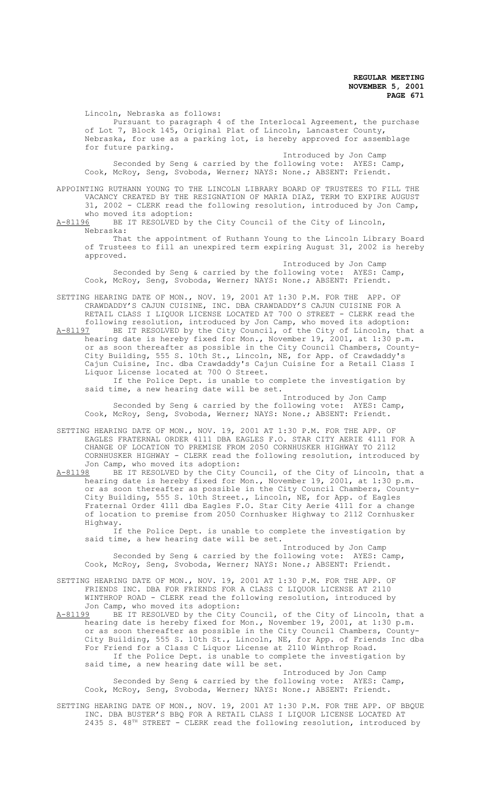Lincoln, Nebraska as follows: Pursuant to paragraph 4 of the Interlocal Agreement, the purchase of Lot 7, Block 145, Original Plat of Lincoln, Lancaster County, Nebraska, for use as a parking lot, is hereby approved for assemblage for future parking.

Introduced by Jon Camp Seconded by Seng & carried by the following vote: AYES: Camp, Cook, McRoy, Seng, Svoboda, Werner; NAYS: None.; ABSENT: Friendt.

APPOINTING RUTHANN YOUNG TO THE LINCOLN LIBRARY BOARD OF TRUSTEES TO FILL THE VACANCY CREATED BY THE RESIGNATION OF MARIA DIAZ, TERM TO EXPIRE AUGUST 31, 2002 - CLERK read the following resolution, introduced by Jon Camp, who moved its adoption:<br>A-81196 BE IT RESOLVED by

BE IT RESOLVED by the City Council of the City of Lincoln, Nebraska:

That the appointment of Ruthann Young to the Lincoln Library Board of Trustees to fill an unexpired term expiring August 31, 2002 is hereby approved.

Introduced by Jon Camp Seconded by Seng & carried by the following vote: AYES: Camp, Cook, McRoy, Seng, Svoboda, Werner; NAYS: None.; ABSENT: Friendt.

SETTING HEARING DATE OF MON., NOV. 19, 2001 AT 1:30 P.M. FOR THE APP. OF CRAWDADDY'S CAJUN CUISINE, INC. DBA CRAWDADDY'S CAJUN CUISINE FOR A

RETAIL CLASS I LIQUOR LICENSE LOCATED AT 700 O STREET - CLERK read the following resolution, introduced by Jon Camp, who moved its adoption: A-81197 BE IT RESOLVED by the City Council, of the City of Lincoln, that a hearing date is hereby fixed for Mon., November 19, 2001, at 1:30 p.m. or as soon thereafter as possible in the City Council Chambers, County-City Building, 555 S. 10th St., Lincoln, NE, for App. of Crawdaddy's Cajun Cuisine, Inc. dba Crawdaddy's Cajun Cuisine for a Retail Class I Liquor License located at 700 O Street.

If the Police Dept. is unable to complete the investigation by said time, a new hearing date will be set.

Introduced by Jon Camp Seconded by Seng & carried by the following vote: AYES: Camp, Cook, McRoy, Seng, Svoboda, Werner; NAYS: None.; ABSENT: Friendt.

- SETTING HEARING DATE OF MON., NOV. 19, 2001 AT 1:30 P.M. FOR THE APP. OF EAGLES FRATERNAL ORDER 4111 DBA EAGLES F.O. STAR CITY AERIE 4111 FOR A CHANGE OF LOCATION TO PREMISE FROM 2050 CORNHUSKER HIGHWAY TO 2112 CORNHUSKER HIGHWAY - CLERK read the following resolution, introduced by
- Jon Camp, who moved its adoption:<br>A-81198 BE IT RESOLVED by the City A-81198 BE IT RESOLVED by the City Council, of the City of Lincoln, that a hearing date is hereby fixed for Mon., November 19, 2001, at 1:30 p.m. or as soon thereafter as possible in the City Council Chambers, County-City Building, 555 S. 10th Street., Lincoln, NE, for App. of Eagles Fraternal Order 4111 dba Eagles F.O. Star City Aerie 4111 for a change of location to premise from 2050 Cornhusker Highway to 2112 Cornhusker Highway.

If the Police Dept. is unable to complete the investigation by said time, a hew hearing date will be set.

Introduced by Jon Camp Seconded by Seng & carried by the following vote: AYES: Camp, Cook, McRoy, Seng, Svoboda, Werner; NAYS: None.; ABSENT: Friendt.

SETTING HEARING DATE OF MON., NOV. 19, 2001 AT 1:30 P.M. FOR THE APP. OF FRIENDS INC. DBA FOR FRIENDS FOR A CLASS C LIQUOR LICENSE AT 2110 WINTHROP ROAD - CLERK read the following resolution, introduced by Jon Camp, who moved its adoption:

A-81199 BE IT RESOLVED by the City Council, of the City of Lincoln, that a hearing date is hereby fixed for Mon., November 19, 2001, at 1:30 p.m. or as soon thereafter as possible in the City Council Chambers, County-City Building, 555 S. 10th St., Lincoln, NE, for App. of Friends Inc dba For Friend for a Class C Liquor License at 2110 Winthrop Road. If the Police Dept. is unable to complete the investigation by said time, a new hearing date will be set.

Introduced by Jon Camp Seconded by Seng & carried by the following vote: AYES: Camp, Cook, McRoy, Seng, Svoboda, Werner; NAYS: None.; ABSENT: Friendt.

SETTING HEARING DATE OF MON., NOV. 19, 2001 AT 1:30 P.M. FOR THE APP. OF BBQUE INC. DBA BUSTER'S BBQ FOR A RETAIL CLASS I LIQUOR LICENSE LOCATED AT 2435 S. 48TH STREET - CLERK read the following resolution, introduced by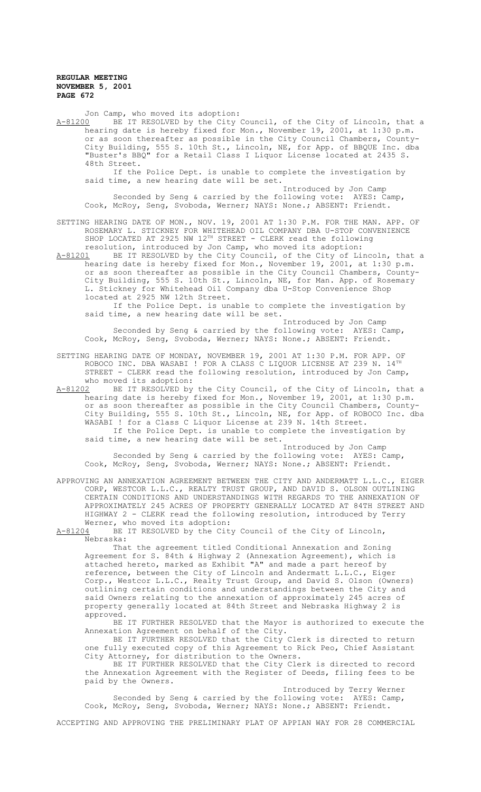Jon Camp, who moved its adoption: A-81200 BE IT RESOLVED by the City Council, of the City of Lincoln, that a hearing date is hereby fixed for Mon., November 19, 2001, at 1:30 p.m. or as soon thereafter as possible in the City Council Chambers, County-City Building, 555 S. 10th St., Lincoln, NE, for App. of BBQUE Inc. dba "Buster's BBQ" for a Retail Class I Liquor License located at 2435 S. 48th Street. If the Police Dept. is unable to complete the investigation by said time, a new hearing date will be set. Introduced by Jon Camp Seconded by Seng & carried by the following vote: AYES: Camp, Cook, McRoy, Seng, Svoboda, Werner; NAYS: None.; ABSENT: Friendt. SETTING HEARING DATE OF MON., NOV. 19, 2001 AT 1:30 P.M. FOR THE MAN. APP. OF ROSEMARY L. STICKNEY FOR WHITEHEAD OIL COMPANY DBA U-STOP CONVENIENCE SHOP LOCATED AT 2925 NW  $12^{TH}$  STREET - CLERK read the following resolution, introduced by Jon Camp, who moved its adoption: A-81201 BE IT RESOLVED by the City Council, of the City of Lincoln, that a hearing date is hereby fixed for Mon., November 19, 2001, at 1:30 p.m. or as soon thereafter as possible in the City Council Chambers, County-City Building, 555 S. 10th St., Lincoln, NE, for Man. App. of Rosemary L. Stickney for Whitehead Oil Company dba U-Stop Convenience Shop located at 2925 NW 12th Street. If the Police Dept. is unable to complete the investigation by said time, a new hearing date will be set. Introduced by Jon Camp Seconded by Seng & carried by the following vote: AYES: Camp, Cook, McRoy, Seng, Svoboda, Werner; NAYS: None.; ABSENT: Friendt. SETTING HEARING DATE OF MONDAY, NOVEMBER 19, 2001 AT 1:30 P.M. FOR APP. OF ROBOCO INC. DBA WASABI ! FOR A CLASS C LIQUOR LICENSE AT 239 N.  $14^{TH}$ 

who moved its adoption:<br>A-81202 BE IT RESOLVED by BE IT RESOLVED by the City Council, of the City of Lincoln, that a hearing date is hereby fixed for Mon., November 19, 2001, at 1:30 p.m. or as soon thereafter as possible in the City Council Chambers, County City Building, 555 S. 10th St., Lincoln, NE, for App. of ROBOCO Inc. dba WASABI ! for a Class C Liquor License at 239 N. 14th Street. If the Police Dept. is unable to complete the investigation by said time, a new hearing date will be set.

STREET - CLERK read the following resolution, introduced by Jon Camp,

Introduced by Jon Camp Seconded by Seng & carried by the following vote: AYES: Camp, Cook, McRoy, Seng, Svoboda, Werner; NAYS: None.; ABSENT: Friendt.

APPROVING AN ANNEXATION AGREEMENT BETWEEN THE CITY AND ANDERMATT L.L.C., EIGER CORP, WESTCOR L.L.C., REALTY TRUST GROUP, AND DAVID S. OLSON OUTLINING CERTAIN CONDITIONS AND UNDERSTANDINGS WITH REGARDS TO THE ANNEXATION OF APPROXIMATELY 245 ACRES OF PROPERTY GENERALLY LOCATED AT 84TH STREET AND HIGHWAY 2 - CLERK read the following resolution, introduced by Terry Werner, who moved its adoption:

A-81204 BE IT RESOLVED by the City Council of the City of Lincoln, Nebraska:

That the agreement titled Conditional Annexation and Zoning Agreement for S. 84th & Highway 2 (Annexation Agreement), which is attached hereto, marked as Exhibit "A" and made a part hereof by reference, between the City of Lincoln and Andermatt L.L.C., Eiger Corp., Westcor L.L.C., Realty Trust Group, and David S. Olson (Owners) outlining certain conditions and understandings between the City and said Owners relating to the annexation of approximately 245 acres of property generally located at 84th Street and Nebraska Highway 2 is approved.

BE IT FURTHER RESOLVED that the Mayor is authorized to execute the Annexation Agreement on behalf of the City.

BE IT FURTHER RESOLVED that the City Clerk is directed to return one fully executed copy of this Agreement to Rick Peo, Chief Assistant City Attorney, for distribution to the Owners.

BE IT FURTHER RESOLVED that the City Clerk is directed to record the Annexation Agreement with the Register of Deeds, filing fees to be paid by the Owners.

Introduced by Terry Werner Seconded by Seng & carried by the following vote: AYES: Camp, Cook, McRoy, Seng, Svoboda, Werner; NAYS: None.; ABSENT: Friendt.

ACCEPTING AND APPROVING THE PRELIMINARY PLAT OF APPIAN WAY FOR 28 COMMERCIAL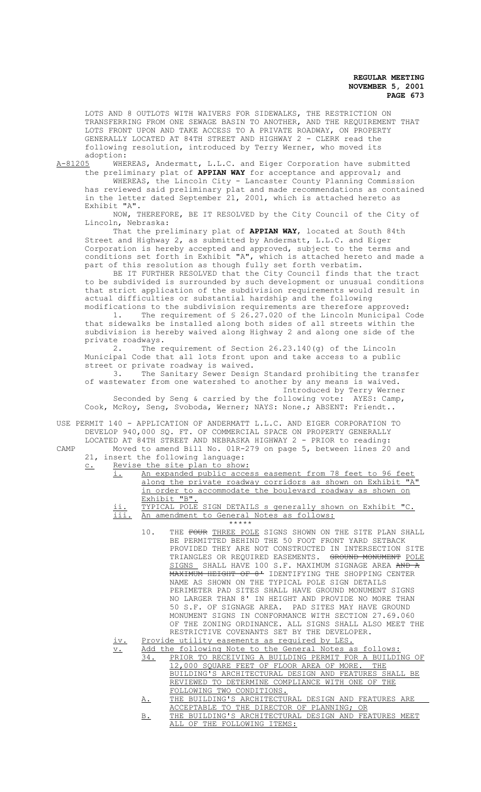LOTS AND 8 OUTLOTS WITH WAIVERS FOR SIDEWALKS, THE RESTRICTION ON TRANSFERRING FROM ONE SEWAGE BASIN TO ANOTHER, AND THE REQUIREMENT THAT LOTS FRONT UPON AND TAKE ACCESS TO A PRIVATE ROADWAY, ON PROPERTY GENERALLY LOCATED AT 84TH STREET AND HIGHWAY 2 - CLERK read the following resolution, introduced by Terry Werner, who moved its

adoption:<br>A-81205 WHE WHEREAS, Andermatt, L.L.C. and Eiger Corporation have submitted the preliminary plat of **APPIAN WAY** for acceptance and approval; and

WHEREAS, the Lincoln City - Lancaster County Planning Commission has reviewed said preliminary plat and made recommendations as contained in the letter dated September 21, 2001, which is attached hereto as Exhibit "A".

NOW, THEREFORE, BE IT RESOLVED by the City Council of the City of Lincoln, Nebraska:

That the preliminary plat of **APPIAN WAY**, located at South 84th Street and Highway 2, as submitted by Andermatt, L.L.C. and Eiger Corporation is hereby accepted and approved, subject to the terms and conditions set forth in Exhibit "A", which is attached hereto and made a part of this resolution as though fully set forth verbatim.

BE IT FURTHER RESOLVED that the City Council finds that the tract to be subdivided is surrounded by such development or unusual conditions that strict application of the subdivision requirements would result in actual difficulties or substantial hardship and the following modifications to the subdivision requirements are therefore approved:

1. The requirement of § 26.27.020 of the Lincoln Municipal Code that sidewalks be installed along both sides of all streets within the subdivision is hereby waived along Highway 2 and along one side of the private roadways.<br>2. The r

The requirement of Section 26.23.140(g) of the Lincoln Municipal Code that all lots front upon and take access to a public street or private roadway is waived.

3. The Sanitary Sewer Design Standard prohibiting the transfer of wastewater from one watershed to another by any means is waived. Introduced by Terry Werner Seconded by Seng & carried by the following vote: AYES: Camp,

Cook, McRoy, Seng, Svoboda, Werner; NAYS: None.; ABSENT: Friendt..

USE PERMIT 140 - APPLICATION OF ANDERMATT L.L.C. AND EIGER CORPORATION TO DEVELOP 940,000 SQ. FT. OF COMMERCIAL SPACE ON PROPERTY GENERALLY LOCATED AT 84TH STREET AND NEBRASKA HIGHWAY 2 - PRIOR to reading: CAMP Moved to amend Bill No. 01R-279 on page 5, between lines 20 and

- 
- 21, insert the following language: c. Revise the site plan to show:
	- i. An expanded public access easement from 78 feet to 96 feet along the private roadway corridors as shown on Exhibit "A" in order to accommodate the boulevard roadway as shown on Exhibit "B"
		- ii. TYPICAL POLE SIGN DETAILS s generally shown on Exhibit "C.<br>iii. An amendment to General Notes as follows: An amendment to General Notes as follows:
			- \*\*\*\*\* 10. THE FOUR THREE POLE SIGNS SHOWN ON THE SITE PLAN SHALL BE PERMITTED BEHIND THE 50 FOOT FRONT YARD SETBACK PROVIDED THEY ARE NOT CONSTRUCTED IN INTERSECTION SITE TRIANGLES OR REQUIRED EASEMENTS. GROUND MONUMENT POLE SIGNS SHALL HAVE 100 S.F. MAXIMUM SIGNAGE AREA AND A MAXIMUM HEIGHT OF 8' IDENTIFYING THE SHOPPING CENTER NAME AS SHOWN ON THE TYPICAL POLE SIGN DETAILS PERIMETER PAD SITES SHALL HAVE GROUND MONUMENT SIGNS NO LARGER THAN 8' IN HEIGHT AND PROVIDE NO MORE THAN 50 S.F. OF SIGNAGE AREA. PAD SITES MAY HAVE GROUND MONUMENT SIGNS IN CONFORMANCE WITH SECTION 27.69.060 OF THE ZONING ORDINANCE. ALL SIGNS SHALL ALSO MEET THE RESTRICTIVE COVENANTS SET BY THE DEVELOPER.
		- iv. Provide utility easements as required by LES.
		- v. Add the following Note to the General Notes as follows: PRIOR TO RECEIVING A BUILDING PERMIT FOR A BUILDING OF 12,000 SQUARE FEET OF FLOOR AREA OF MORE. THE BUILDING'S ARCHITECTURAL DESIGN AND FEATURES SHALL BE REVIEWED TO DETERMINE COMPLIANCE WITH ONE OF THE FOLLOWING TWO CONDITIONS.
			- A. THE BUILDING'S ARCHITECTURAL DESIGN AND FEATURES ARE ACCEPTABLE TO THE DIRECTOR OF PLANNING; OR
			- B. THE BUILDING'S ARCHITECTURAL DESIGN AND FEATURES MEET ALL OF THE FOLLOWING ITEMS: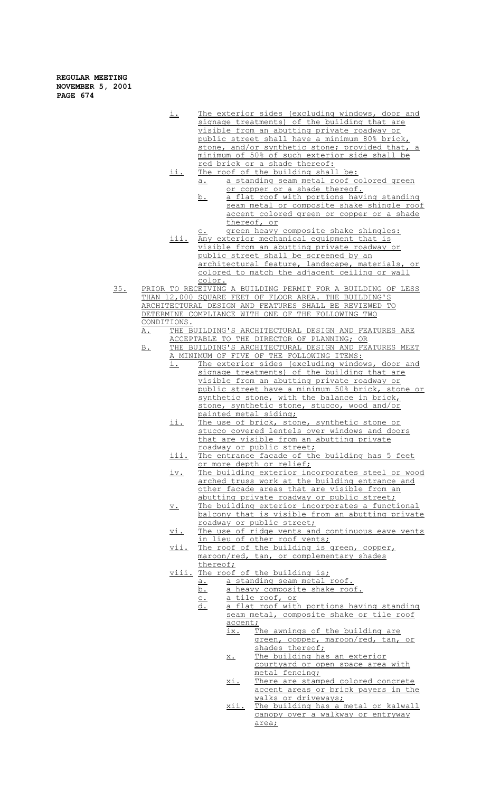- i. The exterior sides (excluding windows, door and signage treatments) of the building that are visible from an abutting private roadway or public street shall have a minimum 80% brick, stone, and/or synthetic stone; provided that, a minimum of 50% of such exterior side shall be red brick or a shade thereof:
- ii. The roof of the building shall be: a. a standing seam metal roof colored green or copper or a shade thereof.
	- b. a flat roof with portions having standing seam metal or composite shake shingle roof accent colored green or copper or a shade thereof, or
- green heavy composite shake shingles: iii. Any exterior mechanical equipment that is visible from an abutting private roadway or public street shall be screened by an architectural feature, landscape, materials, or colored to match the adjacent ceiling or wall color.
- 35. PRIOR TO RECEIVING A BUILDING PERMIT FOR A BUILDING OF LESS THAN 12,000 SQUARE FEET OF FLOOR AREA. THE BUILDING'S ARCHITECTURAL DESIGN AND FEATURES SHALL BE REVIEWED TO DETERMINE COMPLIANCE WITH ONE OF THE FOLLOWING TWO CONDITIONS.
	- A. THE BUILDING'S ARCHITECTURAL DESIGN AND FEATURES ARE ACCEPTABLE TO THE DIRECTOR OF PLANNING; OR
	- B. THE BUILDING'S ARCHITECTURAL DESIGN AND FEATURES MEET A MINIMUM OF FIVE OF THE FOLLOWING ITEMS:
		- i. The exterior sides (excluding windows, door and signage treatments) of the building that are visible from an abutting private roadway or public street have a minimum 50% brick, stone or synthetic stone, with the balance in brick, stone, synthetic stone, stucco, wood and/or painted metal siding;
		- ii. The use of brick, stone, synthetic stone or stucco covered lentels over windows and doors that are visible from an abutting private roadway or public street;
		- iii. The entrance facade of the building has 5 feet or more depth or relief;
		- iv. The building exterior incorporates steel or wood arched truss work at the building entrance and other facade areas that are visible from an abutting private roadway or public street;
		- v. The building exterior incorporates a functional balcony that is visible from an abutting private roadway or public street;
		- vi. The use of ridge vents and continuous eave vents in lieu of other roof vents;
		- vii. The roof of the building is green, copper, maroon/red, tan, or complementary shades thereof;
		- viii. The roof of the building is;
			- a. a standing seam metal roof.
				- b. a heavy composite shake roof.
					- c. a tile roof, or
					- d. a flat roof with portions having standing seam metal, composite shake or tile roof accent;
						- ix. The awnings of the building are green, copper, maroon/red, tan, or shades thereof;
						- x. The building has an exterior courtyard or open space area with metal fencing;
						- xi. There are stamped colored concrete accent areas or brick payers in the walks or driveways;
						- xii. The building has a metal or kalwall canopy over a walkway or entryway area;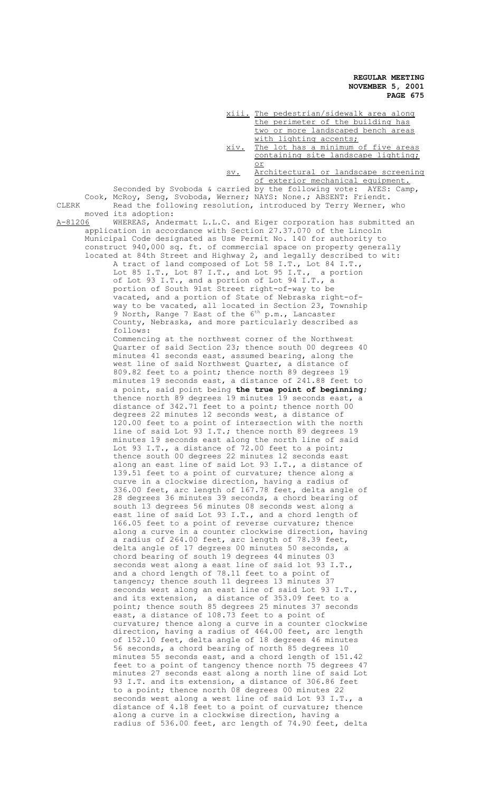xiii. The pedestrian/sidewalk area along the perimeter of the building has two or more landscaped bench areas with lighting accents; xiv. The lot has a minimum of five areas containing site landscape lighting; or sv. Architectural or landscape screening of exterior mechanical equipment. Seconded by Svoboda & carried by the following vote: AYES: Camp, Cook, McRoy, Seng, Svoboda, Werner; NAYS: None.; ABSENT: Friendt. CLERK Read the following resolution, introduced by Terry Werner, who moved its adoption:<br>A-81206 WHEREAS, Ande A-81206 MHEREAS, Andermatt L.L.C. and Eiger corporation has submitted an application in accordance with Section 27.37.070 of the Lincoln Municipal Code designated as Use Permit No. 140 for authority to construct 940,000 sq. ft. of commercial space on property generally located at 84th Street and Highway 2, and legally described to wit: A tract of land composed of Lot 58 I.T., Lot 84 I.T., Lot 85 I.T., Lot 87 I.T., and Lot 95 I.T., a portion Lot 85 I.T., Lot 87 I.T., and Lot 95 I.T., of Lot 93 I.T., and a portion of Lot 94 I.T., a portion of South 91st Street right-of-way to be vacated, and a portion of State of Nebraska right-ofway to be vacated, all located in Section 23, Township 9 North, Range 7 East of the  $6^{\text{th}}$  p.m., Lancaster County, Nebraska, and more particularly described as follows: Commencing at the northwest corner of the Northwest Quarter of said Section 23; thence south 00 degrees 40 minutes 41 seconds east, assumed bearing, along the west line of said Northwest Quarter, a distance of 809.82 feet to a point; thence north 89 degrees 19 minutes 19 seconds east, a distance of 241.88 feet to a point, said point being **the true point of beginning;** thence north 89 degrees 19 minutes 19 seconds east, a distance of 342.71 feet to a point; thence north 00 degrees 22 minutes 12 seconds west, a distance of 120.00 feet to a point of intersection with the north line of said Lot 93 I.T.; thence north 89 degrees 19 minutes 19 seconds east along the north line of said Lot 93 I.T., a distance of 72.00 feet to a point; thence south 00 degrees 22 minutes 12 seconds east along an east line of said Lot 93 I.T., a distance of 139.51 feet to a point of curvature; thence along a curve in a clockwise direction, having a radius of 336.00 feet, arc length of 167.78 feet, delta angle of 28 degrees 36 minutes 39 seconds, a chord bearing of south 13 degrees 56 minutes 08 seconds west along a east line of said Lot 93 I.T., and a chord length of 166.05 feet to a point of reverse curvature; thence along a curve in a counter clockwise direction, having a radius of 264.00 feet, arc length of 78.39 feet, delta angle of 17 degrees 00 minutes 50 seconds, a chord bearing of south 19 degrees 44 minutes 03 seconds west along a east line of said lot 93 I.T., and a chord length of 78.11 feet to a point of tangency; thence south 11 degrees 13 minutes 37 seconds west along an east line of said Lot 93 I.T., and its extension, a distance of 353.09 feet to a point; thence south 85 degrees 25 minutes 37 seconds east, a distance of 108.73 feet to a point of curvature; thence along a curve in a counter clockwise direction, having a radius of 464.00 feet, arc length of 152.10 feet, delta angle of 18 degrees 46 minutes 56 seconds, a chord bearing of north 85 degrees 10 minutes 55 seconds east, and a chord length of 151.42 feet to a point of tangency thence north 75 degrees 47 minutes 27 seconds east along a north line of said Lot 93 I.T. and its extension, a distance of 306.86 feet to a point; thence north 08 degrees 00 minutes 22 seconds west along a west line of said Lot 93 I.T., a distance of 4.18 feet to a point of curvature; thence along a curve in a clockwise direction, having a radius of 536.00 feet, arc length of 74.90 feet, delta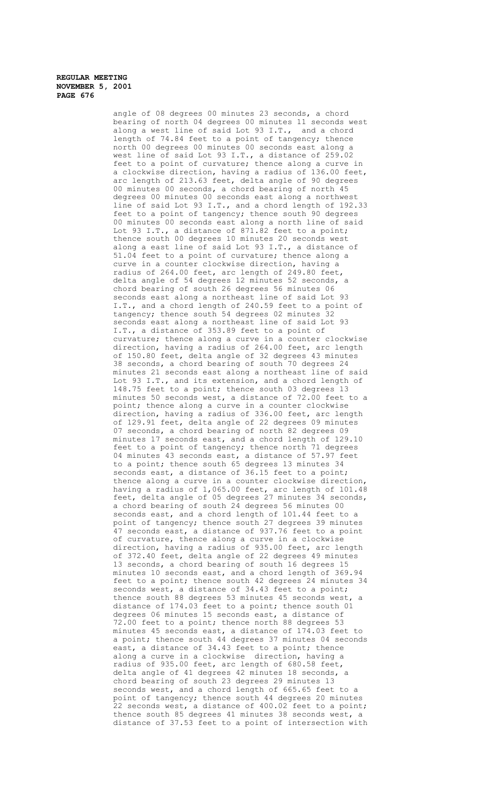> angle of 08 degrees 00 minutes 23 seconds, a chord bearing of north 04 degrees 00 minutes 11 seconds west along a west line of said Lot 93 I.T., and a chord length of 74.84 feet to a point of tangency; thence north 00 degrees 00 minutes 00 seconds east along a west line of said Lot 93 I.T., a distance of 259.02 feet to a point of curvature; thence along a curve in a clockwise direction, having a radius of 136.00 feet, arc length of 213.63 feet, delta angle of 90 degrees 00 minutes 00 seconds, a chord bearing of north 45 degrees 00 minutes 00 seconds east along a northwest line of said Lot 93 I.T., and a chord length of 192.33 feet to a point of tangency; thence south 90 degrees 00 minutes 00 seconds east along a north line of said Lot 93 I.T., a distance of 871.82 feet to a point; thence south 00 degrees 10 minutes 20 seconds west along a east line of said Lot 93 I.T., a distance of 51.04 feet to a point of curvature; thence along a curve in a counter clockwise direction, having a radius of 264.00 feet, arc length of 249.80 feet, delta angle of 54 degrees 12 minutes 52 seconds, a chord bearing of south 26 degrees 56 minutes 06 seconds east along a northeast line of said Lot 93 I.T., and a chord length of 240.59 feet to a point of tangency; thence south 54 degrees 02 minutes 32 seconds east along a northeast line of said Lot 93 I.T., a distance of 353.89 feet to a point of curvature; thence along a curve in a counter clockwise direction, having a radius of 264.00 feet, arc length of 150.80 feet, delta angle of 32 degrees 43 minutes 38 seconds, a chord bearing of south 70 degrees 24 minutes 21 seconds east along a northeast line of said Lot 93 I.T., and its extension, and a chord length of 148.75 feet to a point; thence south 03 degrees 13 minutes 50 seconds west, a distance of  $72.00$  feet to a point; thence along a curve in a counter clockwise direction, having a radius of 336.00 feet, arc length of 129.91 feet, delta angle of 22 degrees 09 minutes 07 seconds, a chord bearing of north 82 degrees 09 minutes 17 seconds east, and a chord length of 129.10 feet to a point of tangency; thence north 71 degrees 04 minutes 43 seconds east, a distance of 57.97 feet to a point; thence south 65 degrees 13 minutes 34 seconds east, a distance of 36.15 feet to a point; thence along a curve in a counter clockwise direction, having a radius of 1,065.00 feet, arc length of 101.48 feet, delta angle of 05 degrees 27 minutes 34 seconds, a chord bearing of south 24 degrees 56 minutes 00 seconds east, and a chord length of 101.44 feet to a point of tangency; thence south 27 degrees 39 minutes 17 seconds east, a distance of 937.76 feet to a point of curvature, thence along a curve in a clockwise direction, having a radius of 935.00 feet, arc length of 372.40 feet, delta angle of 22 degrees 49 minutes 13 seconds, a chord bearing of south 16 degrees 15 minutes 10 seconds east, and a chord length of 369.94 feet to a point; thence south 42 degrees 24 minutes 34 seconds west, a distance of 34.43 feet to a point; thence south 88 degrees 53 minutes 45 seconds west, a distance of 174.03 feet to a point; thence south 01 degrees 06 minutes 15 seconds east, a distance of 72.00 feet to a point; thence north 88 degrees 53 minutes 45 seconds east, a distance of 174.03 feet to a point; thence south 44 degrees 37 minutes 04 seconds east, a distance of 34.43 feet to a point; thence along a curve in a clockwise direction, having a radius of 935.00 feet, arc length of 680.58 feet, delta angle of 41 degrees 42 minutes 18 seconds, a chord bearing of south 23 degrees 29 minutes 13 seconds west, and a chord length of 665.65 feet to a point of tangency; thence south 44 degrees 20 minutes 22 seconds west, a distance of  $400.02$  feet to a point; thence south 85 degrees 41 minutes 38 seconds west, a distance of 37.53 feet to a point of intersection with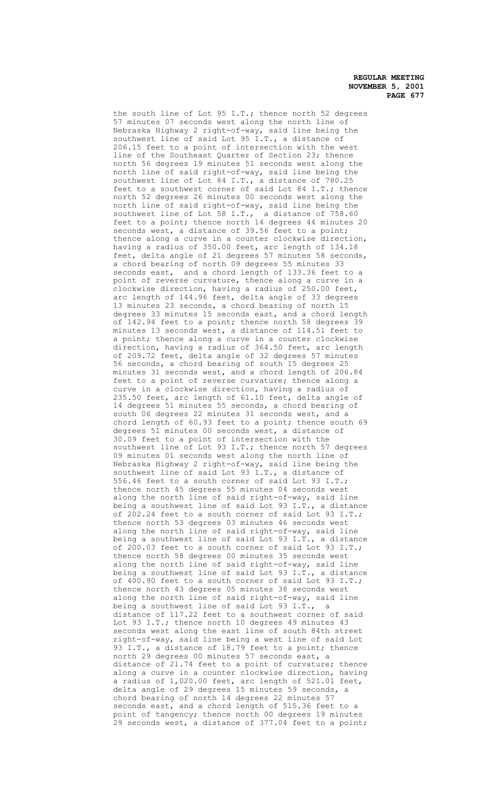the south line of Lot 95 I.T.; thence north 52 degrees 57 minutes 07 seconds west along the north line of Nebraska Highway 2 right-of-way, said line being the southwest line of said Lot 95 I.T., a distance of 206.15 feet to a point of intersection with the west line of the Southeast Quarter of Section 23; thence north 56 degrees 19 minutes 51 seconds west along the north line of said right-of-way, said line being the southwest line of Lot 84 I.T., a distance of 780.25 feet to a southwest corner of said Lot 84 I.T.; thence north 52 degrees 26 minutes 00 seconds west along the north line of said right-of-way, said line being the southwest line of Lot 58 I.T., a distance of 758.60 feet to a point; thence north 14 degrees 44 minutes 20 seconds west, a distance of 39.56 feet to a point; thence along a curve in a counter clockwise direction, having a radius of 350.00 feet, arc length of 134.18 feet, delta angle of 21 degrees 57 minutes 58 seconds, a chord bearing of north 09 degrees 55 minutes 33 seconds east, and a chord length of 133.36 feet to a point of reverse curvature, thence along a curve in a clockwise direction, having a radius of 250.00 feet, arc length of 144.96 feet, delta angle of 33 degrees 13 minutes 23 seconds, a chord bearing of north 15 degrees 33 minutes 15 seconds east, and a chord length of 142.94 feet to a point; thence north 58 degrees 39 minutes 13 seconds west, a distance of 114.51 feet to a point; thence along a curve in a counter clockwise direction, having a radius of 364.50 feet, arc length of 209.72 feet, delta angle of 32 degrees 57 minutes 56 seconds, a chord bearing of south 15 degrees 25 minutes 31 seconds west, and a chord length of 206.84 feet to a point of reverse curvature; thence along a curve in a clockwise direction, having a radius of 235.50 feet, arc length of 61.10 feet, delta angle of 14 degrees 51 minutes 55 seconds, a chord bearing of south 06 degrees 22 minutes 31 seconds west, and a chord length of 60.93 feet to a point; thence south 69 degrees 51 minutes 00 seconds west, a distance of 30.09 feet to a point of intersection with the southwest line of Lot 93 I.T.; thence north 57 degrees 09 minutes 01 seconds west along the north line of Nebraska Highway 2 right-of-way, said line being the southwest line of said Lot 93 I.T., a distance of 556.46 feet to a south corner of said Lot 93 I.T.; thence north 45 degrees 55 minutes 04 seconds west along the north line of said right-of-way, said line being a southwest line of said Lot 93 I.T., a distance of 202.24 feet to a south corner of said Lot 93 I.T.; thence north 53 degrees 03 minutes 46 seconds west along the north line of said right-of-way, said line being a southwest line of said Lot 93 I.T., a distance of 200.03 feet to a south corner of said Lot 93 I.T.; thence north 58 degrees 00 minutes 35 seconds west along the north line of said right-of-way, said line being a southwest line of said Lot 93 I.T., a distance of 400.90 feet to a south corner of said Lot 93 I.T.; thence north 43 degrees 05 minutes 38 seconds west along the north line of said right-of-way, said line being a southwest line of said Lot 93 I.T., a distance of 117.22 feet to a southwest corner of said Lot 93 I.T.; thence north 10 degrees 49 minutes 43 seconds west along the east line of south 84th street right-of-way, said line being a west line of said Lot 93 I.T., a distance of 18.79 feet to a point; thence north 29 degrees 00 minutes 57 seconds east, a distance of 21.74 feet to a point of curvature; thence along a curve in a counter clockwise direction, having a radius of 1,020.00 feet, arc length of 521.01 feet, delta angle of 29 degrees 15 minutes 59 seconds, a chord bearing of north 14 degrees 22 minutes 57 seconds east, and a chord length of 515.36 feet to a point of tangency; thence north 00 degrees 19 minutes 29 seconds west, a distance of 377.04 feet to a point;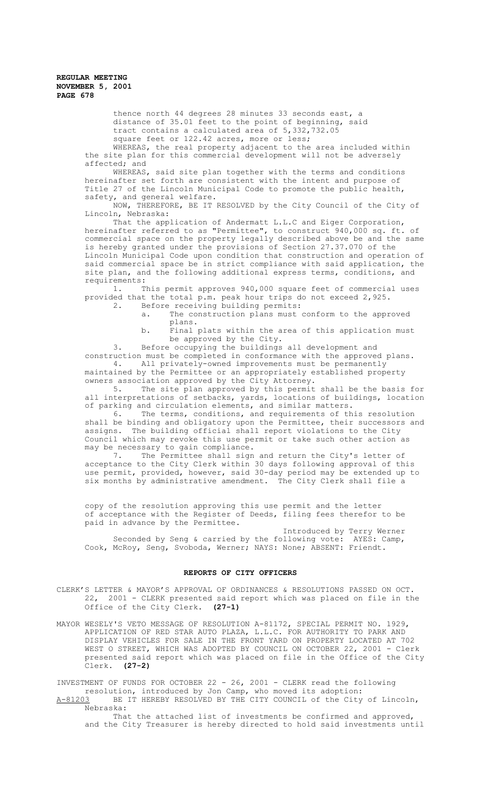thence north 44 degrees 28 minutes 33 seconds east, a distance of 35.01 feet to the point of beginning, said tract contains a calculated area of 5,332,732.05 square feet or 122.42 acres, more or less;

WHEREAS, the real property adjacent to the area included within the site plan for this commercial development will not be adversely affected; and

WHEREAS, said site plan together with the terms and conditions hereinafter set forth are consistent with the intent and purpose of Title 27 of the Lincoln Municipal Code to promote the public health, safety, and general welfare.

NOW, THEREFORE, BE IT RESOLVED by the City Council of the City of Lincoln, Nebraska:

That the application of Andermatt L.L.C and Eiger Corporation, hereinafter referred to as "Permittee", to construct 940,000 sq. ft. of commercial space on the property legally described above be and the same is hereby granted under the provisions of Section 27.37.070 of the Lincoln Municipal Code upon condition that construction and operation of said commercial space be in strict compliance with said application, the site plan, and the following additional express terms, conditions, and requirements:

1. This permit approves 940,000 square feet of commercial uses provided that the total p.m. peak hour trips do not exceed 2,925.

- 2. Before receiving building permits:
	- a. The construction plans must conform to the approved plans.
	- b. Final plats within the area of this application must be approved by the City.

3. Before occupying the buildings all development and construction must be completed in conformance with the approved plans. All privately-owned improvements must be permanently

maintained by the Permittee or an appropriately established property owners association approved by the City Attorney.

5. The site plan approved by this permit shall be the basis for all interpretations of setbacks, yards, locations of buildings, location of parking and circulation elements, and similar matters.<br>6. The terms, conditions, and requirements of the

The terms, conditions, and requirements of this resolution shall be binding and obligatory upon the Permittee, their successors and assigns. The building official shall report violations to the City Council which may revoke this use permit or take such other action as may be necessary to gain compliance.<br>7. The Permittee shall sign

The Permittee shall sign and return the City's letter of acceptance to the City Clerk within 30 days following approval of this use permit, provided, however, said 30-day period may be extended up to six months by administrative amendment. The City Clerk shall file a

copy of the resolution approving this use permit and the letter of acceptance with the Register of Deeds, filing fees therefor to be paid in advance by the Permittee.

Introduced by Terry Werner Seconded by Seng & carried by the following vote: AYES: Camp, Cook, McRoy, Seng, Svoboda, Werner; NAYS: None; ABSENT: Friendt.

#### **REPORTS OF CITY OFFICERS**

- CLERK'S LETTER & MAYOR'S APPROVAL OF ORDINANCES & RESOLUTIONS PASSED ON OCT. 22, 2001 - CLERK presented said report which was placed on file in the Office of the City Clerk. **(27-1)**
- MAYOR WESELY'S VETO MESSAGE OF RESOLUTION A-81172, SPECIAL PERMIT NO. 1929, APPLICATION OF RED STAR AUTO PLAZA, L.L.C. FOR AUTHORITY TO PARK AND DISPLAY VEHICLES FOR SALE IN THE FRONT YARD ON PROPERTY LOCATED AT 702 WEST O STREET, WHICH WAS ADOPTED BY COUNCIL ON OCTOBER 22, 2001 - Clerk presented said report which was placed on file in the Office of the City Clerk. **(27-2)**

INVESTMENT OF FUNDS FOR OCTOBER 22 - 26, 2001 - CLERK read the following resolution, introduced by Jon Camp, who moved its adoption: A-81203 BE IT HEREBY RESOLVED BY THE CITY COUNCIL of the City of Lincoln, Nebraska:

That the attached list of investments be confirmed and approved, and the City Treasurer is hereby directed to hold said investments until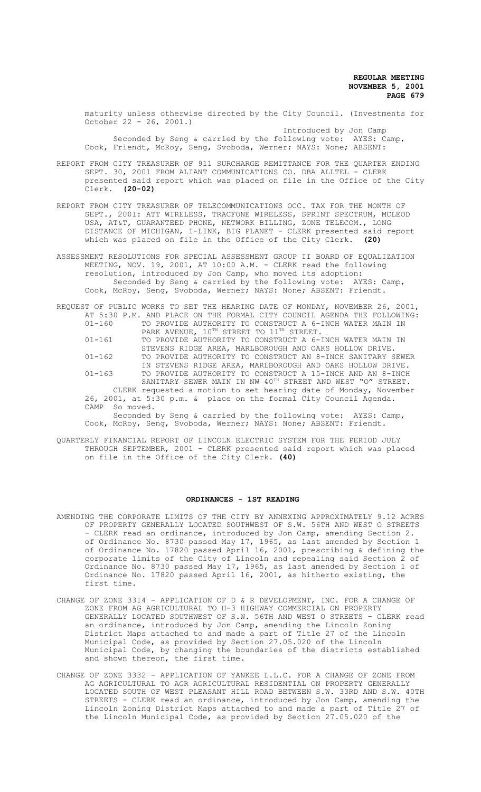maturity unless otherwise directed by the City Council. (Investments for October 22 - 26, 2001.) Introduced by Jon Camp

Seconded by Seng & carried by the following vote: AYES: Camp, Cook, Friendt, McRoy, Seng, Svoboda, Werner; NAYS: None; ABSENT:

REPORT FROM CITY TREASURER OF 911 SURCHARGE REMITTANCE FOR THE QUARTER ENDING SEPT. 30, 2001 FROM ALIANT COMMUNICATIONS CO. DBA ALLTEL - CLERK presented said report which was placed on file in the Office of the City Clerk. **(20-02)**

- REPORT FROM CITY TREASURER OF TELECOMMUNICATIONS OCC. TAX FOR THE MONTH OF SEPT., 2001: ATT WIRELESS, TRACFONE WIRELESS, SPRINT SPECTRUM, MCLEOD USA, AT&T, GUARANTEED PHONE, NETWORK BILLING, ZONE TELECOM., LONG DISTANCE OF MICHIGAN, I-LINK, BIG PLANET - CLERK presented said report which was placed on file in the Office of the City Clerk. **(20)**
- ASSESSMENT RESOLUTIONS FOR SPECIAL ASSESSMENT GROUP II BOARD OF EQUALIZATION MEETING, NOV. 19, 2001, AT 10:00 A.M. - CLERK read the following resolution, introduced by Jon Camp, who moved its adoption: Seconded by Seng & carried by the following vote: AYES: Camp, Cook, McRoy, Seng, Svoboda, Werner; NAYS: None; ABSENT: Friendt.
- REQUEST OF PUBLIC WORKS TO SET THE HEARING DATE OF MONDAY, NOVEMBER 26, 2001, AT 5:30 P.M. AND PLACE ON THE FORMAL CITY COUNCIL AGENDA THE FOLLOWING: 01-160 TO PROVIDE AUTHORITY TO CONSTRUCT A 6-INCH WATER MAIN IN PARK AVENUE, 10TH STREET TO 11TH STREET. 01-161 TO PROVIDE AUTHORITY TO CONSTRUCT A 6-INCH WATER MAIN IN
	- STEVENS RIDGE AREA, MARLBOROUGH AND OAKS HOLLOW DRIVE. 01-162 TO PROVIDE AUTHORITY TO CONSTRUCT AN 8-INCH SANITARY SEWER IN STEVENS RIDGE AREA, MARLBOROUGH AND OAKS HOLLOW DRIVE. 01-163 TO PROVIDE AUTHORITY TO CONSTRUCT A 15-INCH AND AN 8-INCH
	- SANITARY SEWER MAIN IN NW 40<sup>TH</sup> STREET AND WEST "O" STREET. CLERK requested a motion to set hearing date of Monday, November 26, 2001, at 5:30 p.m. & place on the formal City Council Agenda. CAMP So moved.

Seconded by Seng & carried by the following vote: AYES: Camp, Cook, McRoy, Seng, Svoboda, Werner; NAYS: None; ABSENT: Friendt.

QUARTERLY FINANCIAL REPORT OF LINCOLN ELECTRIC SYSTEM FOR THE PERIOD JULY THROUGH SEPTEMBER, 2001 - CLERK presented said report which was placed on file in the Office of the City Clerk. **(40)**

#### **ORDINANCES - 1ST READING**

- AMENDING THE CORPORATE LIMITS OF THE CITY BY ANNEXING APPROXIMATELY 9.12 ACRES OF PROPERTY GENERALLY LOCATED SOUTHWEST OF S.W. 56TH AND WEST O STREETS - CLERK read an ordinance, introduced by Jon Camp, amending Section 2. of Ordinance No. 8730 passed May 17, 1965, as last amended by Section 1 of Ordinance No. 17820 passed April 16, 2001, prescribing & defining the corporate limits of the City of Lincoln and repealing said Section 2 of Ordinance No. 8730 passed May 17, 1965, as last amended by Section 1 of Ordinance No. 17820 passed April 16, 2001, as hitherto existing, the first time.
- CHANGE OF ZONE 3314 APPLICATION OF D & R DEVELOPMENT, INC. FOR A CHANGE OF ZONE FROM AG AGRICULTURAL TO H-3 HIGHWAY COMMERCIAL ON PROPERTY GENERALLY LOCATED SOUTHWEST OF S.W. 56TH AND WEST O STREETS - CLERK read an ordinance, introduced by Jon Camp, amending the Lincoln Zoning District Maps attached to and made a part of Title 27 of the Lincoln Municipal Code, as provided by Section 27.05.020 of the Lincoln Municipal Code, by changing the boundaries of the districts established and shown thereon, the first time.
- CHANGE OF ZONE 3332 APPLICATION OF YANKEE L.L.C. FOR A CHANGE OF ZONE FROM AG AGRICULTURAL TO AGR AGRICULTURAL RESIDENTIAL ON PROPERTY GENERALLY LOCATED SOUTH OF WEST PLEASANT HILL ROAD BETWEEN S.W. 33RD AND S.W. 40TH STREETS - CLERK read an ordinance, introduced by Jon Camp, amending the Lincoln Zoning District Maps attached to and made a part of Title 27 of the Lincoln Municipal Code, as provided by Section 27.05.020 of the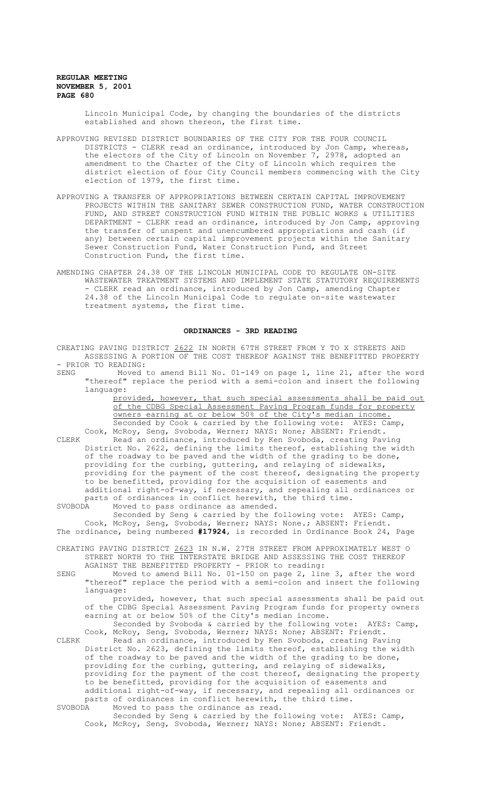Lincoln Municipal Code, by changing the boundaries of the districts established and shown thereon, the first time.

- APPROVING REVISED DISTRICT BOUNDARIES OF THE CITY FOR THE FOUR COUNCIL DISTRICTS - CLERK read an ordinance, introduced by Jon Camp, whereas, the electors of the City of Lincoln on November 7, 2978, adopted an amendment to the Charter of the City of Lincoln which requires the district election of four City Council members commencing with the City election of 1979, the first time.
- APPROVING A TRANSFER OF APPROPRIATIONS BETWEEN CERTAIN CAPITAL IMPROVEMENT PROJECTS WITHIN THE SANITARY SEWER CONSTRUCTION FUND, WATER CONSTRUCTION FUND, AND STREET CONSTRUCTION FUND WITHIN THE PUBLIC WORKS & UTILITIES DEPARTMENT - CLERK read an ordinance, introduced by Jon Camp, approving the transfer of unspent and unencumbered appropriations and cash (if any) between certain capital improvement projects within the Sanitary Sewer Construction Fund, Water Construction Fund, and Street Construction Fund, the first time.
- AMENDING CHAPTER 24.38 OF THE LINCOLN MUNICIPAL CODE TO REGULATE ON-SITE WASTEWATER TREATMENT SYSTEMS AND IMPLEMENT STATE STATUTORY REQUIREMENTS - CLERK read an ordinance, introduced by Jon Camp, amending Chapter 24.38 of the Lincoln Municipal Code to regulate on-site wastewater treatment systems, the first time.

### **ORDINANCES - 3RD READING**

CREATING PAVING DISTRICT 2622 IN NORTH 67TH STREET FROM Y TO X STREETS AND ASSESSING A PORTION OF THE COST THEREOF AGAINST THE BENEFITTED PROPERTY - PRIOR TO READING:<br>SENG Moved

Moved to amend Bill No. 01-149 on page 1, line 21, after the word "thereof" replace the period with a semi-colon and insert the following language:

> provided, however, that such special assessments shall be paid out of the CDBG Special Assessment Paving Program funds for property owners earning at or below 50% of the City's median income. Seconded by Cook & carried by the following vote: AYES: Camp,

Cook, McRoy, Seng, Svoboda, Werner; NAYS: None; ABSENT: Friendt. CLERK Read an ordinance, introduced by Ken Svoboda, creating Paving District No. 2622, defining the limits thereof, establishing the width of the roadway to be paved and the width of the grading to be done, providing for the curbing, guttering, and relaying of sidewalks, providing for the payment of the cost thereof, designating the property to be benefitted, providing for the acquisition of easements and additional right-of-way, if necessary, and repealing all ordinances or parts of ordinances in conflict herewith, the third time.

SVOBODA Moved to pass ordinance as amended.

Seconded by Seng & carried by the following vote: AYES: Camp, Cook, McRoy, Seng, Svoboda, Werner; NAYS: None.; ABSENT: Friendt. The ordinance, being numbered **#17924**, is recorded in Ordinance Book 24, Page

- CREATING PAVING DISTRICT 2623 IN N.W. 27TH STREET FROM APPROXIMATELY WEST O STREET NORTH TO THE INTERSTATE BRIDGE AND ASSESSING THE COST THEREOF AGAINST THE BENEFITTED PROPERTY - PRIOR to reading:
- SENG Moved to amend Bill No. 01-150 on page 2, line 3, after the word "thereof" replace the period with a semi-colon and insert the following language:

provided, however, that such special assessments shall be paid out of the CDBG Special Assessment Paving Program funds for property owners earning at or below 50% of the City's median income.

Seconded by Svoboda & carried by the following vote: AYES: Camp, Cook, McRoy, Seng, Svoboda, Werner; NAYS: None; ABSENT: Friendt.

CLERK Read an ordinance, introduced by Ken Svoboda, creating Paving District No. 2623, defining the limits thereof, establishing the width of the roadway to be paved and the width of the grading to be done, providing for the curbing, guttering, and relaying of sidewalks, providing for the payment of the cost thereof, designating the property to be benefitted, providing for the acquisition of easements and additional right-of-way, if necessary, and repealing all ordinances or parts of ordinances in conflict herewith, the third time.<br>SVOBODA Moved to pass the ordinance as read. Moved to pass the ordinance as read.

Seconded by Seng & carried by the following vote: AYES: Camp, Cook, McRoy, Seng, Svoboda, Werner; NAYS: None; ABSENT: Friendt.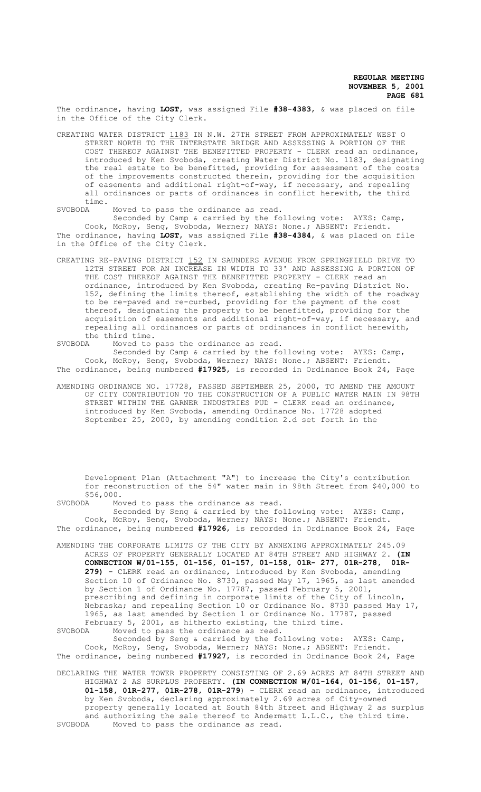The ordinance, having **LOST**, was assigned File **#38-4383**, & was placed on file in the Office of the City Clerk.

CREATING WATER DISTRICT 1183 IN N.W. 27TH STREET FROM APPROXIMATELY WEST O STREET NORTH TO THE INTERSTATE BRIDGE AND ASSESSING A PORTION OF THE COST THEREOF AGAINST THE BENEFITTED PROPERTY - CLERK read an ordinance, introduced by Ken Svoboda, creating Water District No. 1183, designating the real estate to be benefitted, providing for assessment of the costs of the improvements constructed therein, providing for the acquisition of easements and additional right-of-way, if necessary, and repealing all ordinances or parts of ordinances in conflict herewith, the third time.<br>SVOBODA

Moved to pass the ordinance as read.

Seconded by Camp & carried by the following vote: AYES: Camp, Cook, McRoy, Seng, Svoboda, Werner; NAYS: None.; ABSENT: Friendt. The ordinance, having **LOST**, was assigned File **#38-4384**, & was placed on file in the Office of the City Clerk.

CREATING RE-PAVING DISTRICT 152 IN SAUNDERS AVENUE FROM SPRINGFIELD DRIVE TO 12TH STREET FOR AN INCREASE IN WIDTH TO 33' AND ASSESSING A PORTION OF THE COST THEREOF AGAINST THE BENEFITTED PROPERTY - CLERK read an ordinance, introduced by Ken Svoboda, creating Re-paving District No. 152, defining the limits thereof, establishing the width of the roadway to be re-paved and re-curbed, providing for the payment of the cost thereof, designating the property to be benefitted, providing for the acquisition of easements and additional right-of-way, if necessary, and repealing all ordinances or parts of ordinances in conflict herewith, the third time.<br>SVOBODA Moved to

Moved to pass the ordinance as read.

Seconded by Camp & carried by the following vote: AYES: Camp, Cook, McRoy, Seng, Svoboda, Werner; NAYS: None.; ABSENT: Friendt. The ordinance, being numbered **#17925**, is recorded in Ordinance Book 24, Page

AMENDING ORDINANCE NO. 17728, PASSED SEPTEMBER 25, 2000, TO AMEND THE AMOUNT OF CITY CONTRIBUTION TO THE CONSTRUCTION OF A PUBLIC WATER MAIN IN 98TH STREET WITHIN THE GARNER INDUSTRIES PUD - CLERK read an ordinance, introduced by Ken Svoboda, amending Ordinance No. 17728 adopted September 25, 2000, by amending condition 2.d set forth in the

Development Plan (Attachment "A") to increase the City's contribution for reconstruction of the 54" water main in 98th Street from \$40,000 to

 $$56,000.  
\nSVOBODA MOV$ Moved to pass the ordinance as read.

Seconded by Seng & carried by the following vote: AYES: Camp, Cook, McRoy, Seng, Svoboda, Werner; NAYS: None.; ABSENT: Friendt. The ordinance, being numbered **#17926**, is recorded in Ordinance Book 24, Page

AMENDING THE CORPORATE LIMITS OF THE CITY BY ANNEXING APPROXIMATELY 245.09 ACRES OF PROPERTY GENERALLY LOCATED AT 84TH STREET AND HIGHWAY 2. **(IN CONNECTION W/01-155, 01-156, 01-157, 01-158, 01R- 277, 01R-278, 01R-279)** - CLERK read an ordinance, introduced by Ken Svoboda, amending Section 10 of Ordinance No. 8730, passed May 17, 1965, as last amended by Section 1 of Ordinance No. 17787, passed February 5, 2001, prescribing and defining in corporate limits of the City of Lincoln, Nebraska; and repealing Section 10 or Ordinance No. 8730 passed May 17, 1965, as last amended by Section 1 or Ordinance No. 17787, passed February 5, 2001, as hitherto existing, the third time.<br>SVOBODA Moved to pass the ordinance as read.

Moved to pass the ordinance as read.

Seconded by Seng & carried by the following vote: AYES: Camp, Cook, McRoy, Seng, Svoboda, Werner; NAYS: None.; ABSENT: Friendt. The ordinance, being numbered **#17927**, is recorded in Ordinance Book 24, Page

DECLARING THE WATER TOWER PROPERTY CONSISTING OF 2.69 ACRES AT 84TH STREET AND HIGHWAY 2 AS SURPLUS PROPERTY. **(IN CONNECTION W/01-164, 01-156, 01-157, 01-158, 01R-277, 01R-278, 01R-279**) - CLERK read an ordinance, introduced by Ken Svoboda, declaring approximately 2.69 acres of City-owned property generally located at South 84th Street and Highway 2 as surplus and authorizing the sale thereof to Andermatt L.L.C., the third time.<br>SVOBODA Moved to pass the ordinance as read. Moved to pass the ordinance as read.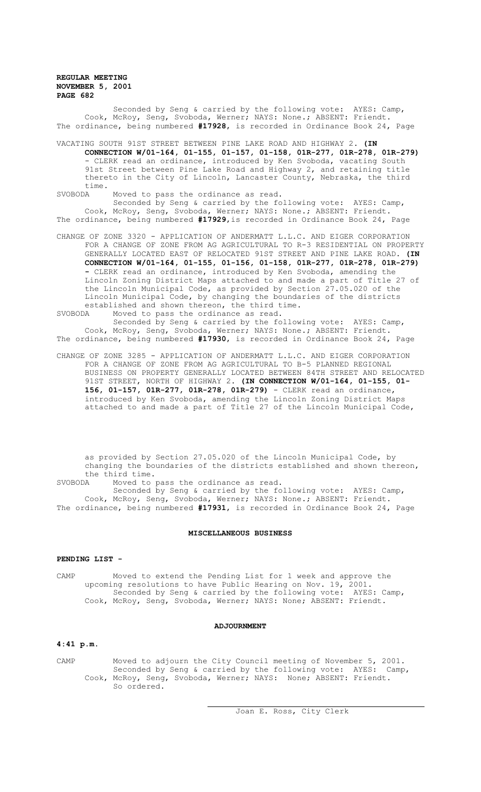Seconded by Seng & carried by the following vote: AYES: Camp, Cook, McRoy, Seng, Svoboda, Werner; NAYS: None.; ABSENT: Friendt. The ordinance, being numbered **#17928**, is recorded in Ordinance Book 24, Page

VACATING SOUTH 91ST STREET BETWEEN PINE LAKE ROAD AND HIGHWAY 2. **(IN CONNECTION W/01-164, 01-155, 01-157, 01-158, 01R-277, 01R-278, 01R-279)**  - CLERK read an ordinance, introduced by Ken Svoboda, vacating South 91st Street between Pine Lake Road and Highway 2, and retaining title thereto in the City of Lincoln, Lancaster County, Nebraska, the third time.<br>SVOBODA

Moved to pass the ordinance as read.

Seconded by Seng & carried by the following vote: AYES: Camp, Cook, McRoy, Seng, Svoboda, Werner; NAYS: None.; ABSENT: Friendt. The ordinance, being numbered **#17929**,is recorded in Ordinance Book 24, Page

CHANGE OF ZONE 3320 - APPLICATION OF ANDERMATT L.L.C. AND EIGER CORPORATION FOR A CHANGE OF ZONE FROM AG AGRICULTURAL TO R-3 RESIDENTIAL ON PROPERTY GENERALLY LOCATED EAST OF RELOCATED 91ST STREET AND PINE LAKE ROAD. **(IN CONNECTION W/01-164, 01-155, 01-156, 01-158, 01R-277, 01R-278, 01R-279) -** CLERK read an ordinance, introduced by Ken Svoboda, amending the Lincoln Zoning District Maps attached to and made a part of Title 27 of the Lincoln Municipal Code, as provided by Section 27.05.020 of the Lincoln Municipal Code, by changing the boundaries of the districts established and shown thereon, the third time.<br>SVOBODA Moved to pass the ordinance as read.

Moved to pass the ordinance as read.

Seconded by Seng & carried by the following vote: AYES: Camp, Cook, McRoy, Seng, Svoboda, Werner; NAYS: None.; ABSENT: Friendt. The ordinance, being numbered **#17930**, is recorded in Ordinance Book 24, Page

CHANGE OF ZONE 3285 - APPLICATION OF ANDERMATT L.L.C. AND EIGER CORPORATION FOR A CHANGE OF ZONE FROM AG AGRICULTURAL TO B-5 PLANNED REGIONAL BUSINESS ON PROPERTY GENERALLY LOCATED BETWEEN 84TH STREET AND RELOCATED 91ST STREET, NORTH OF HIGHWAY 2. **(IN CONNECTION W/01-164, 01-155, 01- 156, 01-157, 01R-277, 01R-278, 01R-279)** - CLERK read an ordinance, introduced by Ken Svoboda, amending the Lincoln Zoning District Maps attached to and made a part of Title 27 of the Lincoln Municipal Code,

as provided by Section 27.05.020 of the Lincoln Municipal Code, by changing the boundaries of the districts established and shown thereon, the third time.

SVOBODA Moved to pass the ordinance as read.

Seconded by Seng & carried by the following vote: AYES: Camp, Cook, McRoy, Seng, Svoboda, Werner; NAYS: None.; ABSENT: Friendt. The ordinance, being numbered **#17931**, is recorded in Ordinance Book 24, Page

#### **MISCELLANEOUS BUSINESS**

#### **PENDING LIST -**

CAMP Moved to extend the Pending List for 1 week and approve the upcoming resolutions to have Public Hearing on Nov. 19, 2001. Seconded by Seng & carried by the following vote: AYES: Camp, Cook, McRoy, Seng, Svoboda, Werner; NAYS: None; ABSENT: Friendt.

### **ADJOURNMENT**

# **4:41 p.m.**

CAMP Moved to adjourn the City Council meeting of November 5, 2001. Seconded by Seng & carried by the following vote: AYES: Camp, Cook, McRoy, Seng, Svoboda, Werner; NAYS: None; ABSENT: Friendt. So ordered.

 $\overline{a}$